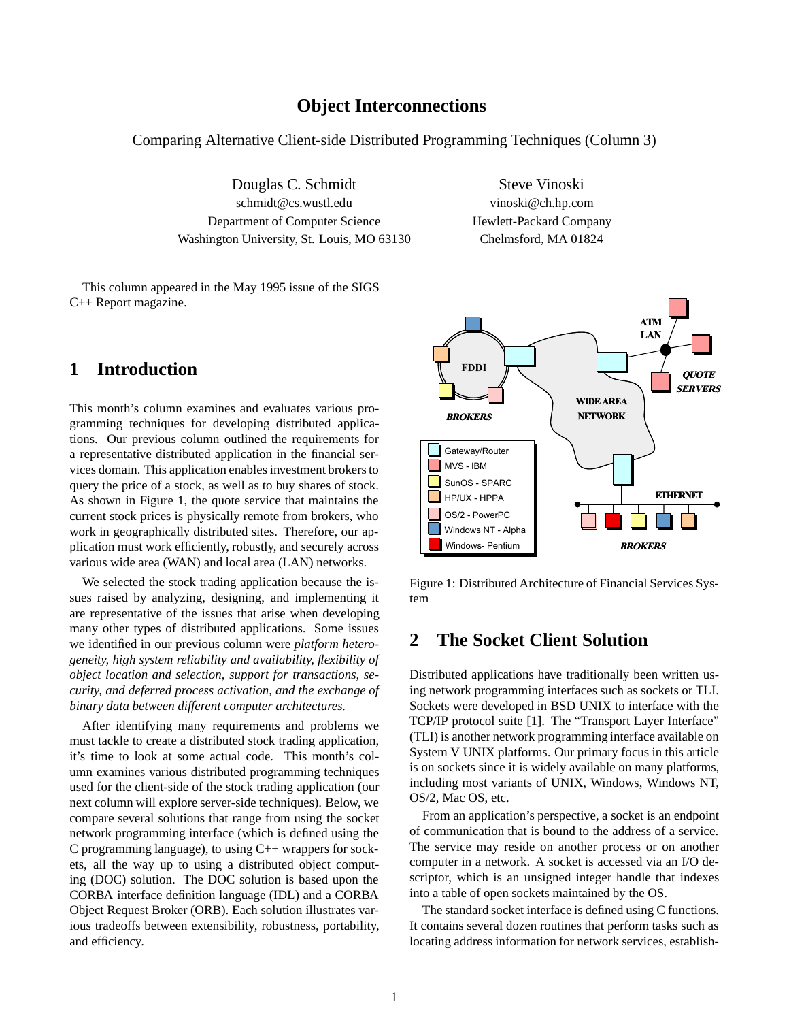## **Object Interconnections**

Comparing Alternative Client-side Distributed Programming Techniques (Column 3)

Douglas C. Schmidt Steve Vinoski schmidt@cs.wustl.edu vinoski@ch.hp.com Department of Computer Science Hewlett-Packard Company Washington University, St. Louis, MO 63130 Chelmsford, MA 01824

This column appeared in the May 1995 issue of the SIGS C++ Report magazine.

## **1 Introduction**

This month's column examines and evaluates various programming techniques for developing distributed applications. Our previous column outlined the requirements for a representative distributed application in the financial services domain. This application enables investment brokers to query the price of a stock, as well as to buy shares of stock. As shown in Figure 1, the quote service that maintains the current stock prices is physically remote from brokers, who work in geographically distributed sites. Therefore, our application must work efficiently, robustly, and securely across various wide area (WAN) and local area (LAN) networks.

We selected the stock trading application because the issues raised by analyzing, designing, and implementing it are representative of the issues that arise when developing many other types of distributed applications. Some issues we identified in our previous column were *platform heterogeneity, high system reliability and availability, flexibility of object location and selection, support for transactions, security, and deferred process activation, and the exchange of binary data between different computer architectures.*

After identifying many requirements and problems we must tackle to create a distributed stock trading application, it's time to look at some actual code. This month's column examines various distributed programming techniques used for the client-side of the stock trading application (our next column will explore server-side techniques). Below, we compare several solutions that range from using the socket network programming interface (which is defined using the C programming language), to using C++ wrappers for sockets, all the way up to using a distributed object computing (DOC) solution. The DOC solution is based upon the CORBA interface definition language (IDL) and a CORBA Object Request Broker (ORB). Each solution illustrates various tradeoffs between extensibility, robustness, portability, and efficiency.



Figure 1: Distributed Architecture of Financial Services System

## **2 The Socket Client Solution**

Distributed applications have traditionally been written using network programming interfaces such as sockets or TLI. Sockets were developed in BSD UNIX to interface with the TCP/IP protocol suite [1]. The "Transport Layer Interface" (TLI) is another network programming interface available on System V UNIX platforms. Our primary focus in this article is on sockets since it is widely available on many platforms, including most variants of UNIX, Windows, Windows NT, OS/2, Mac OS, etc.

From an application's perspective, a socket is an endpoint of communication that is bound to the address of a service. The service may reside on another process or on another computer in a network. A socket is accessed via an I/O descriptor, which is an unsigned integer handle that indexes into a table of open sockets maintained by the OS.

The standard socket interface is defined using C functions. It contains several dozen routines that perform tasks such as locating address information for network services, establish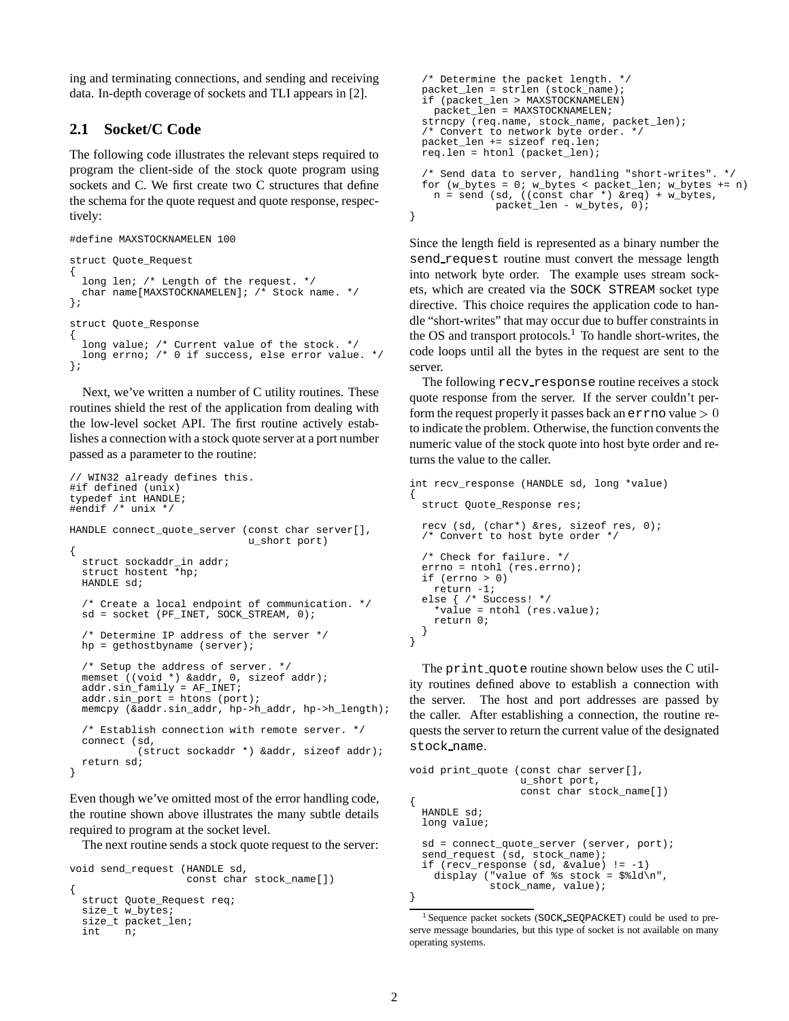ing and terminating connections, and sending and receiving data. In-depth coverage of sockets and TLI appears in [2].

### **2.1 Socket/C Code**

The following code illustrates the relevant steps required to program the client-side of the stock quote program using sockets and C. We first create two C structures that define the schema for the quote request and quote response, respectively:

```
#define MAXSTOCKNAMELEN 100
struct Quote_Request
{
  long len; /* Length of the request. */
 char name[MAXSTOCKNAMELEN]; /* Stock name. */
};
struct Quote_Response
{
  long value; /* Current value of the stock. */
  long errno; /* 0 if success, else error value. */
};
```
Next, we've written a number of C utility routines. These routines shield the rest of the application from dealing with the low-level socket API. The first routine actively establishes a connection with a stock quote server at a port number passed as a parameter to the routine:

```
// WIN32 already defines this.
#if defined (unix)
typedef int HANDLE;
#endif /* unix */
HANDLE connect_quote_server (const char server[],
                             u_short port)
{
 struct sockaddr_in addr;
  struct hostent *hp;
 HANDLE sd;
  /* Create a local endpoint of communication. */
  sd = socket (PF_INET, SOCK_STREAM, 0);
  /* Determine IP address of the server */
 hp = gethostbyname (server);
  /* Setup the address of server. */
 memset ((void *) &addr, 0, sizeof addr);
  addr.sin_family = AF_INET;
  addr.sin_port = htons (port);
  memcpy (&addr.sin_addr, hp->h_addr, hp->h_length);
  /* Establish connection with remote server. */
  connect (sd,
           (struct sockaddr *) &addr, sizeof addr);
  return sd;
}
```
Even though we've omitted most of the error handling code, the routine shown above illustrates the many subtle details required to program at the socket level.

The next routine sends a stock quote request to the server:

```
void send_request (HANDLE sd,
                   const char stock_name[])
{
 struct Quote_Request req;
 size_t w_bytes;
  size_t packet_len;
  int n;
```

```
/* Determine the packet length. */
 packet_len = strlen (stock_name);
 if (packet_len > MAXSTOCKNAMELEN)
   packet_len = MAXSTOCKNAMELEN;
 strncpy (req.name, stock_name, packet_len);
 /* Convert to network byte order. */
 packet_len += sizeof req.len;
 req.len = htonl (packet_len);
  /* Send data to server, handling "short-writes". */
 for (w_bytes = 0; w_bytes < packet_len; w_bytes += n)n = send (sd, ((const char *) \&reg) + w_bytes,packet_len - w_bytes, 0);
}
```
Since the length field is represented as a binary number the send request routine must convert the message length into network byte order. The example uses stream sockets, which are created via the SOCK STREAM socket type directive. This choice requires the application code to handle "short-writes" that may occur due to buffer constraints in the OS and transport protocols.<sup>1</sup> To handle short-writes, the code loops until all the bytes in the request are sent to the server.

The following recv response routine receives a stock quote response from the server. If the server couldn't perform the request properly it passes back an errno value  $> 0$ to indicate the problem. Otherwise, the function convents the numeric value of the stock quote into host byte order and returns the value to the caller.

```
int recv_response (HANDLE sd, long *value)
{
 struct Quote Response res;
 recv (sd, (char*) &res, sizeof res, 0);
 /* Convert to host byte order */
  /* Check for failure. */
 errno = ntohl (res.errno);
 if (errno > 0)
   return -1;
 else { /* Success! */
    *value = ntohl (res.value);
   return 0;
 }
}
```
The print quote routine shown below uses the C utility routines defined above to establish a connection with the server. The host and port addresses are passed by the caller. After establishing a connection, the routine requests the server to return the current value of the designated stock name.

```
void print_quote (const char server[],
                   u_short port,
                   const char stock_name[])
{
  HANDLE sd;
  long value;
  sd = connect_quote_server (server, port);
  send request (sd, stock name);
  if (recv_response (sd, \overline{\text{value}}) != -1)
    display ("value of %s stock = $%ld\n",
              stock_name, value);
}
```
<sup>1</sup> Sequence packet sockets (SOCK SEQPACKET) could be used to preserve message boundaries, but this type of socket is not available on many operating systems.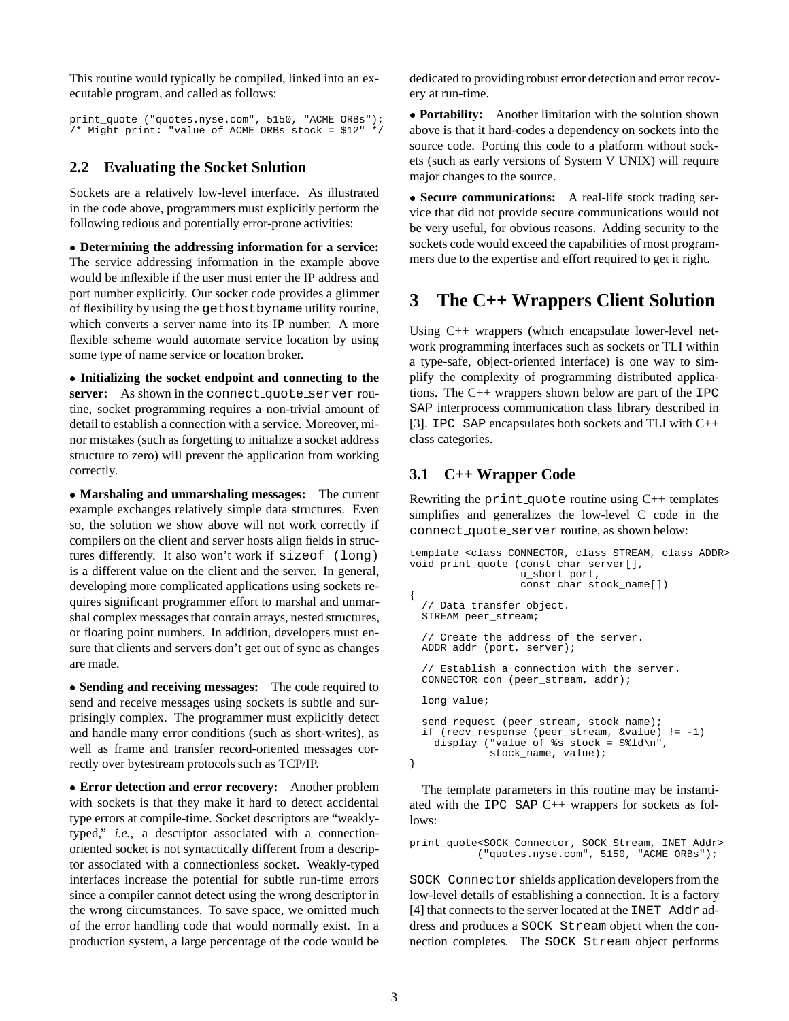This routine would typically be compiled, linked into an executable program, and called as follows:

```
print_quote ("quotes.nyse.com", 5150, "ACME ORBs");
/* Might print: "value of ACME ORBs stock = $12" */
```
#### **2.2 Evaluating the Socket Solution**

Sockets are a relatively low-level interface. As illustrated in the code above, programmers must explicitly perform the following tedious and potentially error-prone activities:

 **Determining the addressing information for a service:** The service addressing information in the example above would be inflexible if the user must enter the IP address and port number explicitly. Our socket code provides a glimmer of flexibility by using the gethostbyname utility routine, which converts a server name into its IP number. A more flexible scheme would automate service location by using some type of name service or location broker.

 **Initializing the socket endpoint and connecting to the server:** As shown in the connect quote server routine, socket programming requires a non-trivial amount of detail to establish a connection with a service. Moreover, minor mistakes (such as forgetting to initialize a socket address structure to zero) will prevent the application from working correctly.

 **Marshaling and unmarshaling messages:** The current example exchanges relatively simple data structures. Even so, the solution we show above will not work correctly if compilers on the client and server hosts align fields in structures differently. It also won't work if sizeof (long) is a different value on the client and the server. In general, developing more complicated applications using sockets requires significant programmer effort to marshal and unmarshal complex messages that contain arrays, nested structures, or floating point numbers. In addition, developers must ensure that clients and servers don't get out of sync as changes are made.

 **Sending and receiving messages:** The code required to send and receive messages using sockets is subtle and surprisingly complex. The programmer must explicitly detect and handle many error conditions (such as short-writes), as well as frame and transfer record-oriented messages correctly over bytestream protocols such as TCP/IP.

 **Error detection and error recovery:** Another problem with sockets is that they make it hard to detect accidental type errors at compile-time. Socket descriptors are "weaklytyped," *i.e.,* a descriptor associated with a connectionoriented socket is not syntactically different from a descriptor associated with a connectionless socket. Weakly-typed interfaces increase the potential for subtle run-time errors since a compiler cannot detect using the wrong descriptor in the wrong circumstances. To save space, we omitted much of the error handling code that would normally exist. In a production system, a large percentage of the code would be dedicated to providing robust error detection and error recovery at run-time.

 **Portability:** Another limitation with the solution shown above is that it hard-codes a dependency on sockets into the source code. Porting this code to a platform without sockets (such as early versions of System V UNIX) will require major changes to the source.

 **Secure communications:** A real-life stock trading service that did not provide secure communications would not be very useful, for obvious reasons. Adding security to the sockets code would exceed the capabilities of most programmers due to the expertise and effort required to get it right.

# **3 The C++ Wrappers Client Solution**

Using C++ wrappers (which encapsulate lower-level network programming interfaces such as sockets or TLI within a type-safe, object-oriented interface) is one way to simplify the complexity of programming distributed applications. The C++ wrappers shown below are part of the IPC SAP interprocess communication class library described in [3]. IPC SAP encapsulates both sockets and TLI with C++ class categories.

### **3.1 C++ Wrapper Code**

Rewriting the print quote routine using  $C_{++}$  templates simplifies and generalizes the low-level C code in the connect quote server routine, as shown below:

```
template <class CONNECTOR, class STREAM, class ADDR>
void print_quote (const char server[],
                  u_short port,
                  const char stock_name[])
{
  // Data transfer object.
 STREAM peer_stream;
  // Create the address of the server.
 ADDR addr (port, server);
  // Establish a connection with the server.
 CONNECTOR con (peer_stream, addr);
  long value;
 send_request (peer_stream, stock_name);
  if (recv_response (peer_stream, &value) != -1)
    display ("value of %s stock = $d\n",
             stock name, value);
}
```
The template parameters in this routine may be instantiated with the IPC SAP C++ wrappers for sockets as follows:

print\_quote<SOCK\_Connector, SOCK\_Stream, INET\_Addr> ("quotes.nyse.com", 5150, "ACME ORBs");

SOCK Connector shields application developers from the low-level details of establishing a connection. It is a factory [4] that connects to the server located at the INET Addr address and produces a SOCK Stream object when the connection completes. The SOCK Stream object performs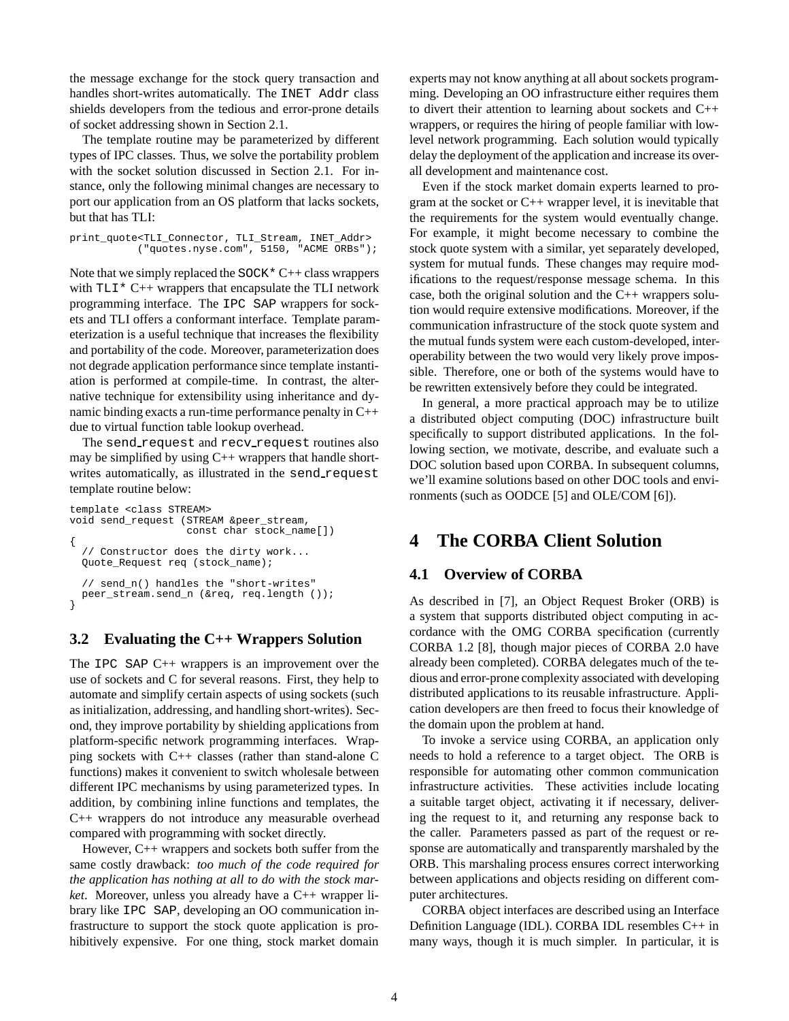the message exchange for the stock query transaction and handles short-writes automatically. The INET Addr class shields developers from the tedious and error-prone details of socket addressing shown in Section 2.1.

The template routine may be parameterized by different types of IPC classes. Thus, we solve the portability problem with the socket solution discussed in Section 2.1. For instance, only the following minimal changes are necessary to port our application from an OS platform that lacks sockets, but that has TLI:

print\_quote<TLI\_Connector, TLI\_Stream, INET\_Addr> ("quotes.nyse.com", 5150, "ACME ORBs");

Note that we simply replaced the  $SOCK \star C++$  class wrappers with  $TLI * C++$  wrappers that encapsulate the TLI network programming interface. The IPC SAP wrappers for sockets and TLI offers a conformant interface. Template parameterization is a useful technique that increases the flexibility and portability of the code. Moreover, parameterization does not degrade application performance since template instantiation is performed at compile-time. In contrast, the alternative technique for extensibility using inheritance and dynamic binding exacts a run-time performance penalty in C++ due to virtual function table lookup overhead.

The send request and recv request routines also may be simplified by using C++ wrappers that handle shortwrites automatically, as illustrated in the send\_request template routine below:

```
template <class STREAM>
void send_request (STREAM &peer_stream,
                   const char stock name[])
{
  // Constructor does the dirty work...
  Quote_Request req (stock_name);
  // send_n() handles the "short-writes"
 peer_stream.send_n (&req, req.length ());
}
```
### **3.2 Evaluating the C++ Wrappers Solution**

The IPC SAP C<sup>++</sup> wrappers is an improvement over the use of sockets and C for several reasons. First, they help to automate and simplify certain aspects of using sockets (such as initialization, addressing, and handling short-writes). Second, they improve portability by shielding applications from platform-specific network programming interfaces. Wrapping sockets with C++ classes (rather than stand-alone C functions) makes it convenient to switch wholesale between different IPC mechanisms by using parameterized types. In addition, by combining inline functions and templates, the C++ wrappers do not introduce any measurable overhead compared with programming with socket directly.

However, C++ wrappers and sockets both suffer from the same costly drawback: *too much of the code required for the application has nothing at all to do with the stock market*. Moreover, unless you already have a C++ wrapper library like IPC SAP, developing an OO communication infrastructure to support the stock quote application is prohibitively expensive. For one thing, stock market domain experts may not know anything at all about sockets programming. Developing an OO infrastructure either requires them to divert their attention to learning about sockets and C++ wrappers, or requires the hiring of people familiar with lowlevel network programming. Each solution would typically delay the deployment of the application and increase its overall development and maintenance cost.

Even if the stock market domain experts learned to program at the socket or C++ wrapper level, it is inevitable that the requirements for the system would eventually change. For example, it might become necessary to combine the stock quote system with a similar, yet separately developed, system for mutual funds. These changes may require modifications to the request/response message schema. In this case, both the original solution and the C++ wrappers solution would require extensive modifications. Moreover, if the communication infrastructure of the stock quote system and the mutual funds system were each custom-developed, interoperability between the two would very likely prove impossible. Therefore, one or both of the systems would have to be rewritten extensively before they could be integrated.

In general, a more practical approach may be to utilize a distributed object computing (DOC) infrastructure built specifically to support distributed applications. In the following section, we motivate, describe, and evaluate such a DOC solution based upon CORBA. In subsequent columns, we'll examine solutions based on other DOC tools and environments (such as OODCE [5] and OLE/COM [6]).

# **4 The CORBA Client Solution**

#### **4.1 Overview of CORBA**

As described in [7], an Object Request Broker (ORB) is a system that supports distributed object computing in accordance with the OMG CORBA specification (currently CORBA 1.2 [8], though major pieces of CORBA 2.0 have already been completed). CORBA delegates much of the tedious and error-prone complexity associated with developing distributed applications to its reusable infrastructure. Application developers are then freed to focus their knowledge of the domain upon the problem at hand.

To invoke a service using CORBA, an application only needs to hold a reference to a target object. The ORB is responsible for automating other common communication infrastructure activities. These activities include locating a suitable target object, activating it if necessary, delivering the request to it, and returning any response back to the caller. Parameters passed as part of the request or response are automatically and transparently marshaled by the ORB. This marshaling process ensures correct interworking between applications and objects residing on different computer architectures.

CORBA object interfaces are described using an Interface Definition Language (IDL). CORBA IDL resembles C++ in many ways, though it is much simpler. In particular, it is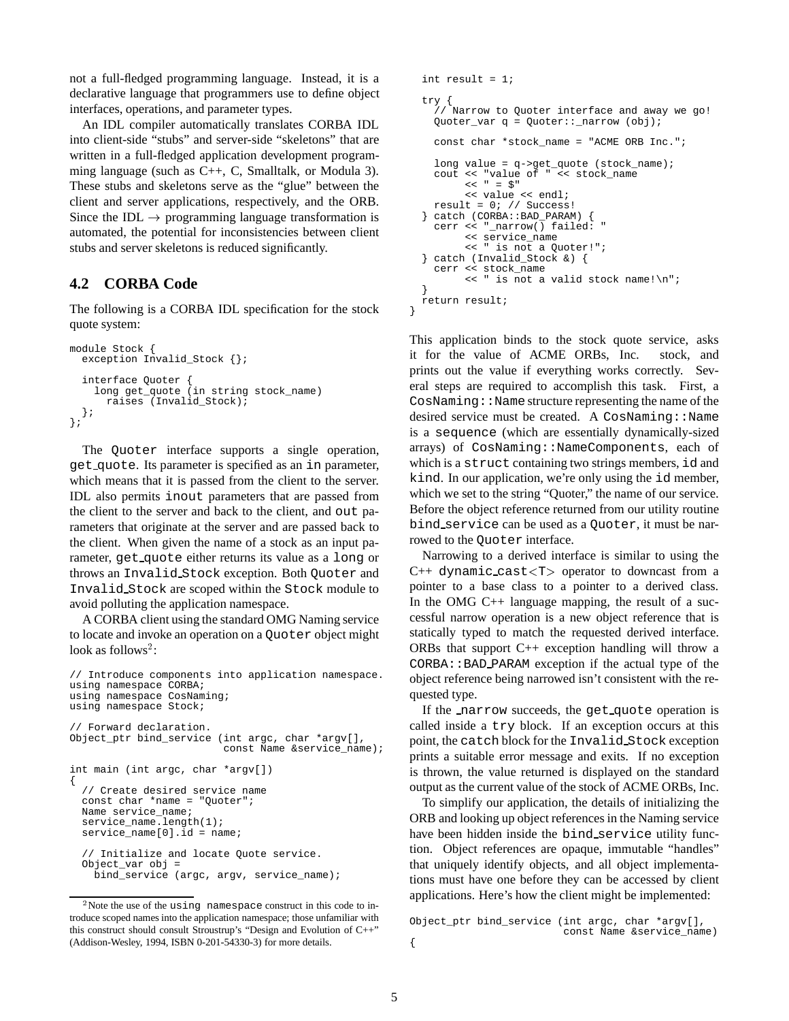not a full-fledged programming language. Instead, it is a declarative language that programmers use to define object interfaces, operations, and parameter types.

An IDL compiler automatically translates CORBA IDL into client-side "stubs" and server-side "skeletons" that are written in a full-fledged application development programming language (such as C++, C, Smalltalk, or Modula 3). These stubs and skeletons serve as the "glue" between the client and server applications, respectively, and the ORB. Since the IDL  $\rightarrow$  programming language transformation is automated, the potential for inconsistencies between client stubs and server skeletons is reduced significantly.

### **4.2 CORBA Code**

The following is a CORBA IDL specification for the stock quote system:

```
module Stock {
  exception Invalid_Stock {};
  interface Quoter {
    long get_quote (in string stock_name)
      raises (Invalid_Stock);
 };
};
```
The Quoter interface supports a single operation, get quote. Its parameter is specified as an in parameter, which means that it is passed from the client to the server. IDL also permits inout parameters that are passed from the client to the server and back to the client, and out parameters that originate at the server and are passed back to the client. When given the name of a stock as an input parameter, get quote either returns its value as a long or throws an Invalid Stock exception. Both Quoter and Invalid Stock are scoped within the Stock module to avoid polluting the application namespace.

A CORBA client using the standard OMG Naming service to locate and invoke an operation on a Quoter object might  $look$  as follows<sup>2</sup>:

```
// Introduce components into application namespace.
using namespace CORBA;
using namespace CosNaming;
using namespace Stock;
// Forward declaration.
Object_ptr bind_service (int argc, char *argv[],
                          const Name &service_name);
int main (int argc, char *argv[])
{
  // Create desired service name
  const char *name = "Quoter";
  Name service_name;
  service_name.length(1);
  service_name[0].id = name;
  // Initialize and locate Quote service.
  Object_var obj =
    \overline{\text{bind}} service (argc, argv, service name);
```

```
int result = 1;
 try {
    // Narrow to Quoter interface and away we go!
    Quoter_var q = Quoter::_narrow (obj);
    const char *stock_name = "ACME ORB Inc.";
    long value = q->get_quote (stock_name);
    cout << "value of " << stock_name
         << " = $"<< value << endl;
   result = 0; // Success!
   catch (CORBA::BAD_PARAM)
    cerr << "_narrow() failed: "
         << service_name
         << " is not a Quoter!";
 } catch (Invalid_Stock &) {
   cerr << stock_name
         << " is not a valid stock name!\n";
  }
 return result;
}
```
This application binds to the stock quote service, asks it for the value of ACME ORBs, Inc. stock, and prints out the value if everything works correctly. Several steps are required to accomplish this task. First, a CosNaming::Name structure representing the name of the desired service must be created. A CosNaming::Name is a sequence (which are essentially dynamically-sized arrays) of CosNaming::NameComponents, each of which is a struct containing two strings members, id and kind. In our application, we're only using the id member, which we set to the string "Quoter," the name of our service. Before the object reference returned from our utility routine bind service can be used as a Quoter, it must be narrowed to the Quoter interface.

Narrowing to a derived interface is similar to using the  $C++$  dynamic cast $\langle T \rangle$  operator to downcast from a pointer to a base class to a pointer to a derived class. In the OMG  $C_{++}$  language mapping, the result of a successful narrow operation is a new object reference that is statically typed to match the requested derived interface. ORBs that support  $C_{++}$  exception handling will throw a CORBA::BAD PARAM exception if the actual type of the object reference being narrowed isn't consistent with the requested type.

If the narrow succeeds, the get quote operation is called inside a try block. If an exception occurs at this point, the catch block for the Invalid Stock exception prints a suitable error message and exits. If no exception is thrown, the value returned is displayed on the standard output as the current value of the stock of ACME ORBs, Inc.

To simplify our application, the details of initializing the ORB and looking up object references in the Naming service have been hidden inside the bind service utility function. Object references are opaque, immutable "handles" that uniquely identify objects, and all object implementations must have one before they can be accessed by client applications. Here's how the client might be implemented:

<sup>&</sup>lt;sup>2</sup>Note the use of the using namespace construct in this code to introduce scoped names into the application namespace; those unfamiliar with this construct should consult Stroustrup's "Design and Evolution of C++" (Addison-Wesley, 1994, ISBN 0-201-54330-3) for more details.

Object\_ptr bind\_service (int argc, char \*argv[], const Name &service\_name) {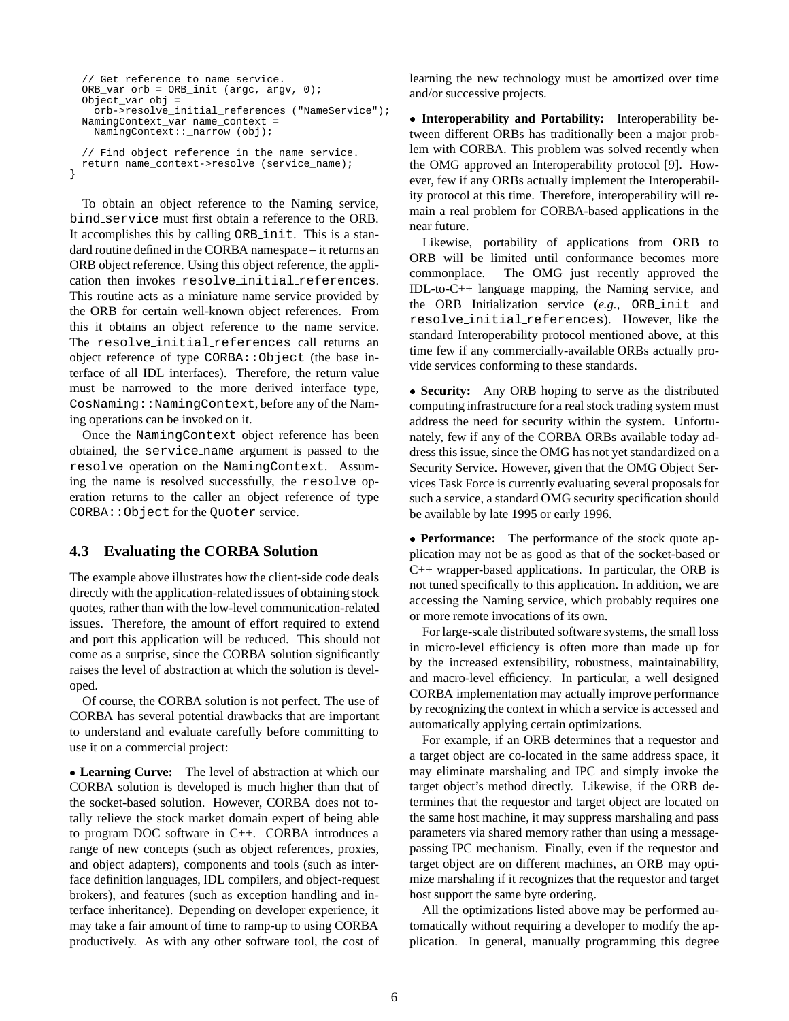```
// Get reference to name service.
ORB_var orb = ORB_init (argc, argv, 0);
Object_var obj =
  orb->resolve_initial_references ("NameService");
NamingContext_var name_context =
 NamingContext:: narrow (obj);
// Find object reference in the name service.
```
return name\_context->resolve (service\_name); } To obtain an object reference to the Naming service, bind service must first obtain a reference to the ORB. It accomplishes this by calling ORB init. This is a standard routine defined in the CORBA namespace – it returns an

ORB object reference. Using this object reference, the application then invokes resolve initial references. This routine acts as a miniature name service provided by the ORB for certain well-known object references. From this it obtains an object reference to the name service. The resolve initial references call returns an object reference of type CORBA::Object (the base interface of all IDL interfaces). Therefore, the return value must be narrowed to the more derived interface type, CosNaming::NamingContext, before any of the Naming operations can be invoked on it.

Once the NamingContext object reference has been obtained, the service name argument is passed to the resolve operation on the NamingContext. Assuming the name is resolved successfully, the resolve operation returns to the caller an object reference of type CORBA::Object for the Quoter service.

### **4.3 Evaluating the CORBA Solution**

The example above illustrates how the client-side code deals directly with the application-related issues of obtaining stock quotes, rather than with the low-level communication-related issues. Therefore, the amount of effort required to extend and port this application will be reduced. This should not come as a surprise, since the CORBA solution significantly raises the level of abstraction at which the solution is developed.

Of course, the CORBA solution is not perfect. The use of CORBA has several potential drawbacks that are important to understand and evaluate carefully before committing to use it on a commercial project:

 **Learning Curve:** The level of abstraction at which our CORBA solution is developed is much higher than that of the socket-based solution. However, CORBA does not totally relieve the stock market domain expert of being able to program DOC software in C++. CORBA introduces a range of new concepts (such as object references, proxies, and object adapters), components and tools (such as interface definition languages, IDL compilers, and object-request brokers), and features (such as exception handling and interface inheritance). Depending on developer experience, it may take a fair amount of time to ramp-up to using CORBA productively. As with any other software tool, the cost of learning the new technology must be amortized over time and/or successive projects.

 **Interoperability and Portability:** Interoperability between different ORBs has traditionally been a major problem with CORBA. This problem was solved recently when the OMG approved an Interoperability protocol [9]. However, few if any ORBs actually implement the Interoperability protocol at this time. Therefore, interoperability will remain a real problem for CORBA-based applications in the near future.

Likewise, portability of applications from ORB to ORB will be limited until conformance becomes more commonplace. The OMG just recently approved the IDL-to-C++ language mapping, the Naming service, and the ORB Initialization service (*e.g.,* ORB init and resolve initial references). However, like the standard Interoperability protocol mentioned above, at this time few if any commercially-available ORBs actually provide services conforming to these standards.

 **Security:** Any ORB hoping to serve as the distributed computing infrastructure for a real stock trading system must address the need for security within the system. Unfortunately, few if any of the CORBA ORBs available today address this issue, since the OMG has not yet standardized on a Security Service. However, given that the OMG Object Services Task Force is currently evaluating several proposals for such a service, a standard OMG security specification should be available by late 1995 or early 1996.

 **Performance:** The performance of the stock quote application may not be as good as that of the socket-based or C++ wrapper-based applications. In particular, the ORB is not tuned specifically to this application. In addition, we are accessing the Naming service, which probably requires one or more remote invocations of its own.

For large-scale distributed software systems, the small loss in micro-level efficiency is often more than made up for by the increased extensibility, robustness, maintainability, and macro-level efficiency. In particular, a well designed CORBA implementation may actually improve performance by recognizing the context in which a service is accessed and automatically applying certain optimizations.

For example, if an ORB determines that a requestor and a target object are co-located in the same address space, it may eliminate marshaling and IPC and simply invoke the target object's method directly. Likewise, if the ORB determines that the requestor and target object are located on the same host machine, it may suppress marshaling and pass parameters via shared memory rather than using a messagepassing IPC mechanism. Finally, even if the requestor and target object are on different machines, an ORB may optimize marshaling if it recognizes that the requestor and target host support the same byte ordering.

All the optimizations listed above may be performed automatically without requiring a developer to modify the application. In general, manually programming this degree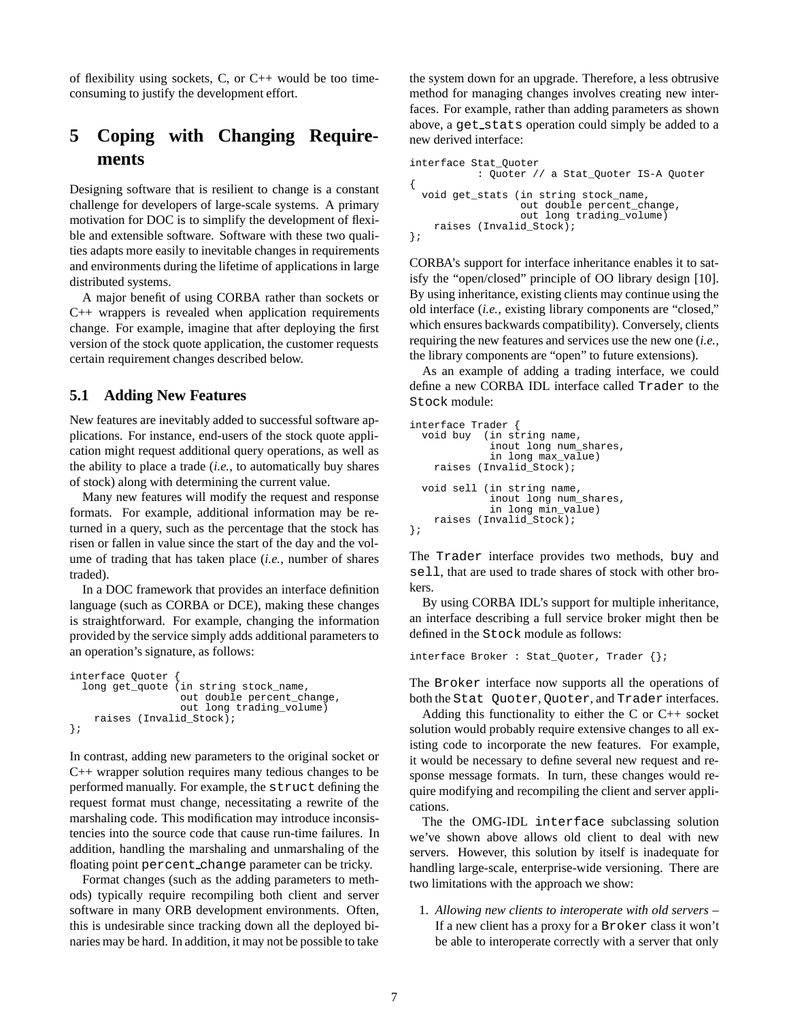of flexibility using sockets, C, or  $C_{++}$  would be too timeconsuming to justify the development effort.

# **5 Coping with Changing Requirements**

Designing software that is resilient to change is a constant challenge for developers of large-scale systems. A primary motivation for DOC is to simplify the development of flexible and extensible software. Software with these two qualities adapts more easily to inevitable changes in requirements and environments during the lifetime of applications in large distributed systems.

A major benefit of using CORBA rather than sockets or C++ wrappers is revealed when application requirements change. For example, imagine that after deploying the first version of the stock quote application, the customer requests certain requirement changes described below.

#### **5.1 Adding New Features**

New features are inevitably added to successful software applications. For instance, end-users of the stock quote application might request additional query operations, as well as the ability to place a trade (*i.e.*, to automatically buy shares of stock) along with determining the current value.

Many new features will modify the request and response formats. For example, additional information may be returned in a query, such as the percentage that the stock has risen or fallen in value since the start of the day and the volume of trading that has taken place (*i.e.*, number of shares traded).

In a DOC framework that provides an interface definition language (such as CORBA or DCE), making these changes is straightforward. For example, changing the information provided by the service simply adds additional parameters to an operation's signature, as follows:

```
interface Quoter {
  long get_quote (in string stock_name,
                  out double percent_change,
                  out long trading_volume)
    raises (Invalid_Stock);
};
```
In contrast, adding new parameters to the original socket or C++ wrapper solution requires many tedious changes to be performed manually. For example, the struct defining the request format must change, necessitating a rewrite of the marshaling code. This modification may introduce inconsistencies into the source code that cause run-time failures. In addition, handling the marshaling and unmarshaling of the floating point percent\_change parameter can be tricky.

Format changes (such as the adding parameters to methods) typically require recompiling both client and server software in many ORB development environments. Often, this is undesirable since tracking down all the deployed binaries may be hard. In addition, it may not be possible to take the system down for an upgrade. Therefore, a less obtrusive method for managing changes involves creating new interfaces. For example, rather than adding parameters as shown above, a get stats operation could simply be added to a new derived interface:

```
interface Stat_Quoter
          : Quoter // a Stat_Quoter IS-A Quoter
{
 void get_stats (in string stock_name,
                  out double percent_change,
                  out long trading_volume)
    raises (Invalid_Stock);
};
```
CORBA's support for interface inheritance enables it to satisfy the "open/closed" principle of OO library design [10]. By using inheritance, existing clients may continue using the old interface (*i.e.,* existing library components are "closed," which ensures backwards compatibility). Conversely, clients requiring the new features and services use the new one (*i.e.,* the library components are "open" to future extensions).

As an example of adding a trading interface, we could define a new CORBA IDL interface called Trader to the Stock module:

```
interface Trader {
 void buy (in string name,
             inout long num_shares,
             in long max_value)
   raises (Invalid_Stock);
 void sell (in string name,
             inout long num_shares,
             in long min_value)
    raises (Invalid_Stock);
};
```
The Trader interface provides two methods, buy and sell, that are used to trade shares of stock with other brokers.

By using CORBA IDL's support for multiple inheritance, an interface describing a full service broker might then be defined in the Stock module as follows:

interface Broker : Stat\_Quoter, Trader {};

The Broker interface now supports all the operations of both the Stat Quoter, Quoter, and Trader interfaces.

Adding this functionality to either the C or  $C_{++}$  socket solution would probably require extensive changes to all existing code to incorporate the new features. For example, it would be necessary to define several new request and response message formats. In turn, these changes would require modifying and recompiling the client and server applications.

The the OMG-IDL interface subclassing solution we've shown above allows old client to deal with new servers. However, this solution by itself is inadequate for handling large-scale, enterprise-wide versioning. There are two limitations with the approach we show:

1. *Allowing new clients to interoperate with old servers* – If a new client has a proxy for a Broker class it won't be able to interoperate correctly with a server that only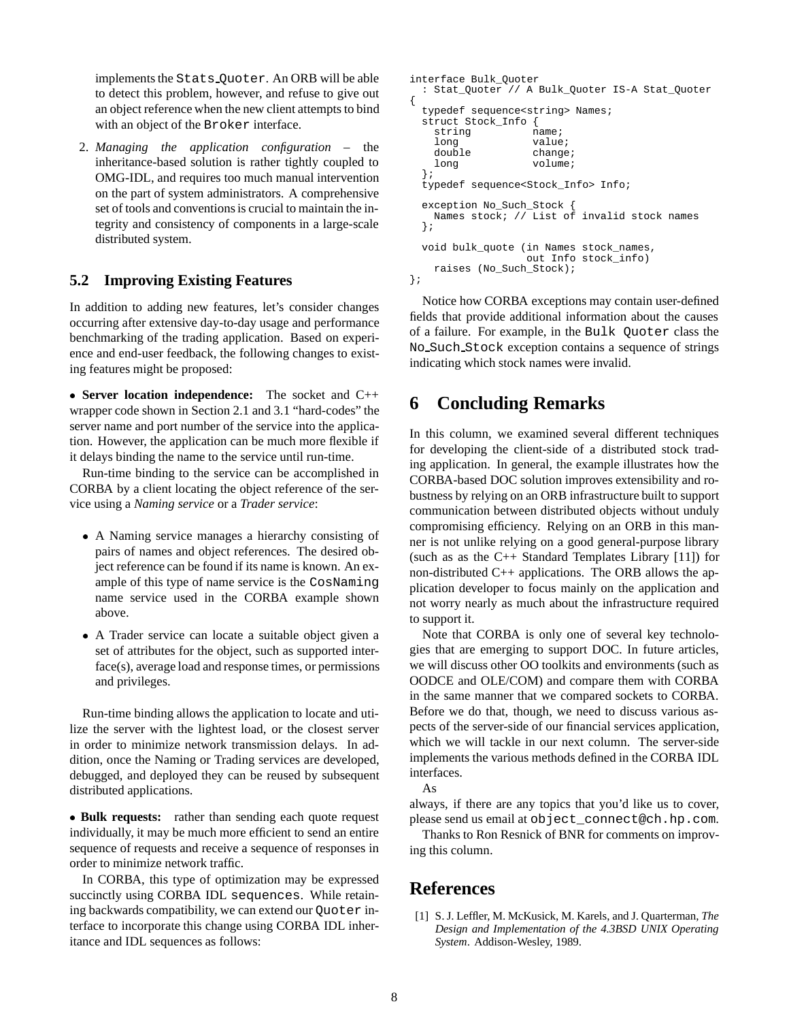implements the Stats Quoter. An ORB will be able to detect this problem, however, and refuse to give out an object reference when the new client attempts to bind with an object of the Broker interface.

2. *Managing the application configuration* – the inheritance-based solution is rather tightly coupled to OMG-IDL, and requires too much manual intervention on the part of system administrators. A comprehensive set of tools and conventions is crucial to maintain the integrity and consistency of components in a large-scale distributed system.

## **5.2 Improving Existing Features**

In addition to adding new features, let's consider changes occurring after extensive day-to-day usage and performance benchmarking of the trading application. Based on experience and end-user feedback, the following changes to existing features might be proposed:

 **Server location independence:** The socket and C++ wrapper code shown in Section 2.1 and 3.1 "hard-codes" the server name and port number of the service into the application. However, the application can be much more flexible if it delays binding the name to the service until run-time.

Run-time binding to the service can be accomplished in CORBA by a client locating the object reference of the service using a *Naming service* or a *Trader service*:

- A Naming service manages a hierarchy consisting of pairs of names and object references. The desired object reference can be found if its name is known. An example of this type of name service is the CosNaming name service used in the CORBA example shown above.
- A Trader service can locate a suitable object given a set of attributes for the object, such as supported interface(s), average load and response times, or permissions and privileges.

Run-time binding allows the application to locate and utilize the server with the lightest load, or the closest server in order to minimize network transmission delays. In addition, once the Naming or Trading services are developed, debugged, and deployed they can be reused by subsequent distributed applications.

 **Bulk requests:** rather than sending each quote request individually, it may be much more efficient to send an entire sequence of requests and receive a sequence of responses in order to minimize network traffic.

In CORBA, this type of optimization may be expressed succinctly using CORBA IDL sequences. While retaining backwards compatibility, we can extend our Quoter interface to incorporate this change using CORBA IDL inheritance and IDL sequences as follows:

```
interface Bulk_Quoter
  : Stat_Quoter // A Bulk_Quoter IS-A Stat_Quoter
{
  typedef sequence<string> Names;
  struct Stock_Info {<br>string name;
    string<br>long
    long value;<br>double change
    double change;<br>long volume;
                      volume;
  };
  typedef sequence<Stock_Info> Info;
  exception No_Such_Stock {
    Names stock; // List of invalid stock names
  };
  void bulk_quote (in Names stock_names,
                     out Info stock_info)
    raises (No_Such_Stock);
};
```
Notice how CORBA exceptions may contain user-defined fields that provide additional information about the causes of a failure. For example, in the Bulk Quoter class the No Such Stock exception contains a sequence of strings indicating which stock names were invalid.

# **6 Concluding Remarks**

In this column, we examined several different techniques for developing the client-side of a distributed stock trading application. In general, the example illustrates how the CORBA-based DOC solution improves extensibility and robustness by relying on an ORB infrastructure built to support communication between distributed objects without unduly compromising efficiency. Relying on an ORB in this manner is not unlike relying on a good general-purpose library (such as as the  $C_{++}$  Standard Templates Library [11]) for non-distributed C++ applications. The ORB allows the application developer to focus mainly on the application and not worry nearly as much about the infrastructure required to support it.

Note that CORBA is only one of several key technologies that are emerging to support DOC. In future articles, we will discuss other OO toolkits and environments (such as OODCE and OLE/COM) and compare them with CORBA in the same manner that we compared sockets to CORBA. Before we do that, though, we need to discuss various aspects of the server-side of our financial services application, which we will tackle in our next column. The server-side implements the various methods defined in the CORBA IDL interfaces.

As

always, if there are any topics that you'd like us to cover, please send us email at object\_connect@ch.hp.com.

Thanks to Ron Resnick of BNR for comments on improving this column.

# **References**

[1] S. J. Leffler, M. McKusick, M. Karels, and J. Quarterman, *The Design and Implementation of the 4.3BSD UNIX Operating System*. Addison-Wesley, 1989.